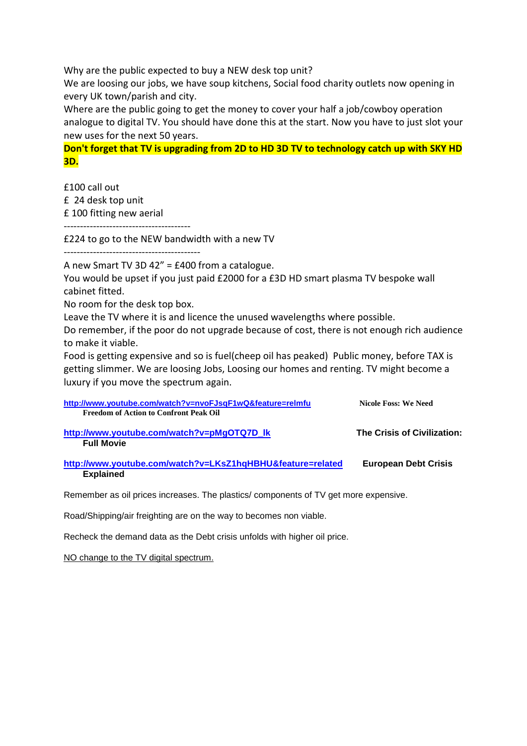Why are the public expected to buy a NEW desk top unit?

We are loosing our jobs, we have soup kitchens, Social food charity outlets now opening in every UK town/parish and city.

Where are the public going to get the money to cover your half a job/cowboy operation analogue to digital TV. You should have done this at the start. Now you have to just slot your new uses for the next 50 years.

**Don't forget that TV is upgrading from 2D to HD 3D TV to technology catch up with SKY HD 3D.**

£100 call out

£ 24 desk top unit

£ 100 fitting new aerial

---------------------------------------

£224 to go to the NEW bandwidth with a new TV

 $-$ 

A new Smart TV 3D 42" = £400 from a catalogue.

You would be upset if you just paid £2000 for a £3D HD smart plasma TV bespoke wall cabinet fitted.

No room for the desk top box.

Leave the TV where it is and licence the unused wavelengths where possible.

Do remember, if the poor do not upgrade because of cost, there is not enough rich audience to make it viable.

Food is getting expensive and so is fuel(cheep oil has peaked) Public money, before TAX is getting slimmer. We are loosing Jobs, Loosing our homes and renting. TV might become a luxury if you move the spectrum again.

| http://www.youtube.com/watch?v=nvoFJsqF1wQ&feature=relmfu<br><b>Freedom of Action to Confront Peak Oil</b> | <b>Nicole Foss: We Need</b> |
|------------------------------------------------------------------------------------------------------------|-----------------------------|
| http://www.youtube.com/watch?v=pMgOTQ7D lk<br><b>Full Movie</b>                                            | The Crisis of Civilization: |
| http://www.youtube.com/watch?v=LKsZ1hqHBHU&feature=related<br><b>Explained</b>                             | <b>European Debt Crisis</b> |

Remember as oil prices increases. The plastics/ components of TV get more expensive.

Road/Shipping/air freighting are on the way to becomes non viable.

Recheck the demand data as the Debt crisis unfolds with higher oil price.

NO change to the TV digital spectrum.